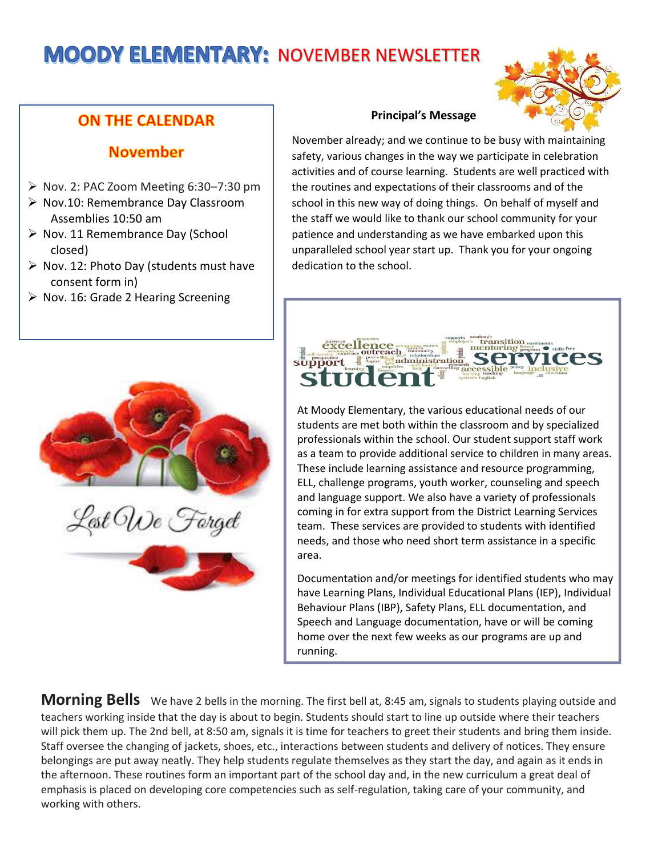# **MOODY ELEMENTARY: NOVEMBER NEWSLETTER**



# **ON THE CALENDAR**

## **November**

- ➢ Nov. 2: PAC Zoom Meeting 6:30–7:30 pm
- ➢ Nov.10: Remembrance Day Classroom Assemblies 10:50 am
- ➢ Nov. 11 Remembrance Day (School closed)
- $\triangleright$  Nov. 12: Photo Day (students must have consent form in)
- ➢ Nov. 16: Grade 2 Hearing Screening



### **Principal's Message**

November already; and we continue to be busy with maintaining safety, various changes in the way we participate in celebration activities and of course learning. Students are well practiced with the routines and expectations of their classrooms and of the school in this new way of doing things. On behalf of myself and the staff we would like to thank our school community for your patience and understanding as we have embarked upon this unparalleled school year start up. Thank you for your ongoing dedication to the school.



At Moody Elementary, the various educational needs of our students are met both within the classroom and by specialized professionals within the school. Our student support staff work as a team to provide additional service to children in many areas. These include learning assistance and resource programming, ELL, challenge programs, youth worker, counseling and speech and language support. We also have a variety of professionals coming in for extra support from the District Learning Services team. These services are provided to students with identified needs, and those who need short term assistance in a specific area.

Documentation and/or meetings for identified students who may have Learning Plans, Individual Educational Plans (IEP), Individual Behaviour Plans (IBP), Safety Plans, ELL documentation, and Speech and Language documentation, have or will be coming home over the next few weeks as our programs are up and running.

**Morning Bells** We have 2 bells in the morning. The first bell at, 8:45 am, signals to students playing outside and teachers working inside that the day is about to begin. Students should start to line up outside where their teachers will pick them up. The 2nd bell, at 8:50 am, signals it is time for teachers to greet their students and bring them inside. Staff oversee the changing of jackets, shoes, etc., interactions between students and delivery of notices. They ensure belongings are put away neatly. They help students regulate themselves as they start the day, and again as it ends in the afternoon. These routines form an important part of the school day and, in the new curriculum a great deal of emphasis is placed on developing core competencies such as self-regulation, taking care of your community, and working with others.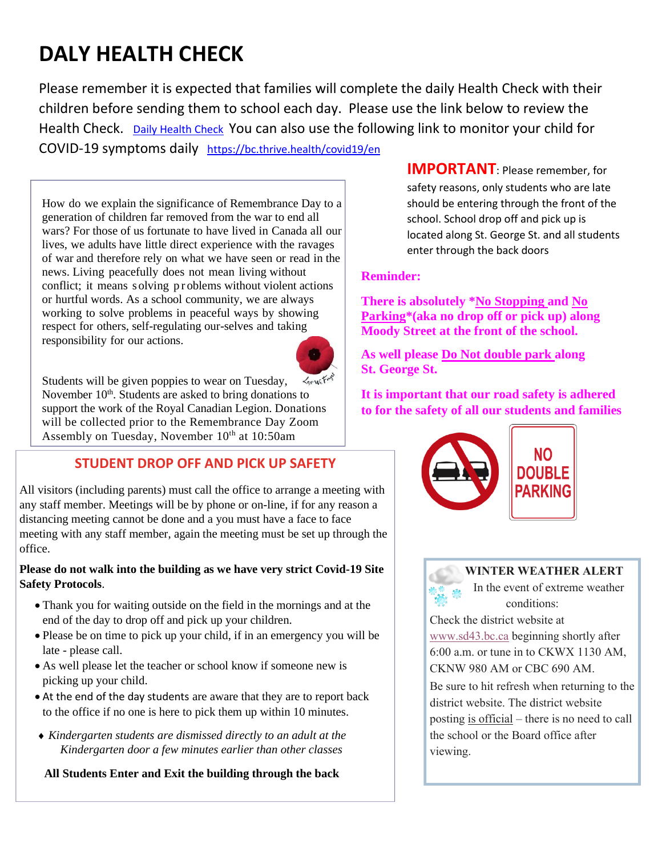# **DALY HEALTH CHECK**

Please remember it is expected that families will complete the daily Health Check with their children before sending them to school each day. Please use the link below to review the Health Check. [Daily Health Check](https://www.sd43.bc.ca/Lists/Documents/English%20-%20Daily%20Health%20Check.pdf) You can also use the following link to monitor your child for COVID-19 symptoms daily <https://bc.thrive.health/covid19/en>

How do we explain the significance of Remembrance Day to a generation of children far removed from the war to end all wars? For those of us fortunate to have lived in Canada all our lives, we adults have little direct experience with the ravages of war and therefore rely on what we have seen or read in the news. Living peacefully does not mean living without conflict; it means solving p r oblems without violent actions or hurtful words. As a school community, we are always working to solve problems in peaceful ways by showing respect for others, self-regulating our-selves and taking responsibility for our actions.



Students will be given poppies to wear on Tuesday, November  $10<sup>th</sup>$ . Students are asked to bring donations to support the work of the Royal Canadian Legion. Donations will be collected prior to the Remembrance Day Zoom Assembly on Tuesday, November  $10<sup>th</sup>$  at  $10:50$ am

## **STUDENT DROP OFF AND PICK UP SAFETY**

All visitors (including parents) must call the office to arrange a meeting with any staff member. Meetings will be by phone or on-line, if for any reason a distancing meeting cannot be done and a you must have a face to face meeting with any staff member, again the meeting must be set up through the office.

### **Please do not walk into the building as we have very strict Covid-19 Site Safety Protocols**.

- Thank you for waiting outside on the field in the mornings and at the end of the day to drop off and pick up your children.
- Please be on time to pick up your child, if in an emergency you will be late - please call.
- As well please let the teacher or school know if someone new is picking up your child.
- At the end of the day students are aware that they are to report back to the office if no one is here to pick them up within 10 minutes.
- *Kindergarten students are dismissed directly to an adult at the Kindergarten door a few minutes earlier than other classes*

**All Students Enter and Exit the building through the back**

**IMPORTANT**: Please remember, for safety reasons, only students who are late should be entering through the front of the school. School drop off and pick up is located along St. George St. and all students enter through the back doors

## **Reminder:**

**There is absolutely \*No Stopping and No Parking\*(aka no drop off or pick up) along Moody Street at the front of the school.**

**As well please Do Not double park along St. George St.**

**It is important that our road safety is adhered to for the safety of all our students and families**



## **WINTER WEATHER ALERT**

 In the event of extreme weather conditions:

Check the district website at [www.sd43.bc.ca](https://www.sd43.bc.ca/Pages/default.aspx#/=) beginning shortly after 6:00 a.m. or tune in to CKWX 1130 AM, CKNW 980 AM or CBC 690 AM.

Be sure to hit refresh when returning to the district website. The district website posting is official – there is no need to call the school or the Board office after viewing.